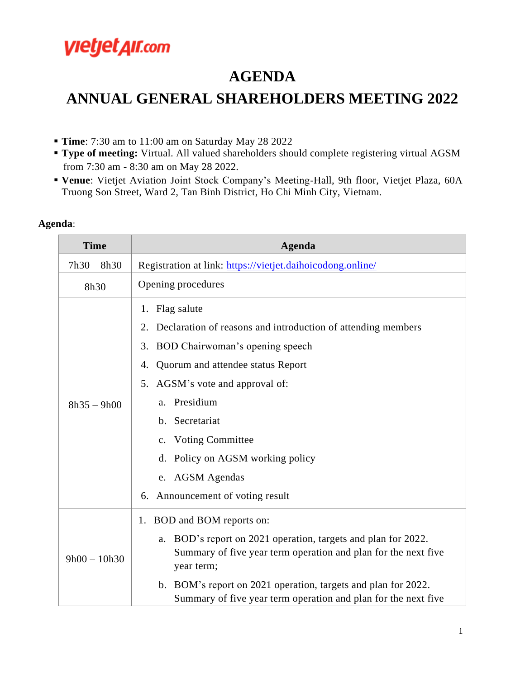## **VIetjet AII.com**

### **AGENDA**

## **ANNUAL GENERAL SHAREHOLDERS MEETING 2022**

- **Time**: 7:30 am to 11:00 am on Saturday May 28 2022
- **Type of meeting:** Virtual. All valued shareholders should complete registering virtual AGSM from 7:30 am - 8:30 am on May 28 2022.
- **Venue**: Vietjet Aviation Joint Stock Company's Meeting-Hall, 9th floor, Vietjet Plaza, 60A Truong Son Street, Ward 2, Tan Binh District, Ho Chi Minh City, Vietnam.

#### **Agenda**:

| <b>Time</b>    | <b>Agenda</b>                                                                                                                                                                                                                                                                                                                                                      |
|----------------|--------------------------------------------------------------------------------------------------------------------------------------------------------------------------------------------------------------------------------------------------------------------------------------------------------------------------------------------------------------------|
| $7h30 - 8h30$  | Registration at link: https://vietjet.daihoicodong.online/                                                                                                                                                                                                                                                                                                         |
| 8h30           | Opening procedures                                                                                                                                                                                                                                                                                                                                                 |
| $8h35 - 9h00$  | 1. Flag salute<br>Declaration of reasons and introduction of attending members<br>2.<br>BOD Chairwoman's opening speech<br>3.<br>Quorum and attendee status Report<br>4.<br>AGSM's vote and approval of:<br>5.<br>a. Presidium<br>b. Secretariat<br>c. Voting Committee<br>d. Policy on AGSM working policy<br>e. AGSM Agendas<br>6. Announcement of voting result |
| $9h00 - 10h30$ | 1. BOD and BOM reports on:                                                                                                                                                                                                                                                                                                                                         |
|                | BOD's report on 2021 operation, targets and plan for 2022.<br>a.<br>Summary of five year term operation and plan for the next five<br>year term;<br>b. BOM's report on 2021 operation, targets and plan for 2022.                                                                                                                                                  |
|                | Summary of five year term operation and plan for the next five                                                                                                                                                                                                                                                                                                     |